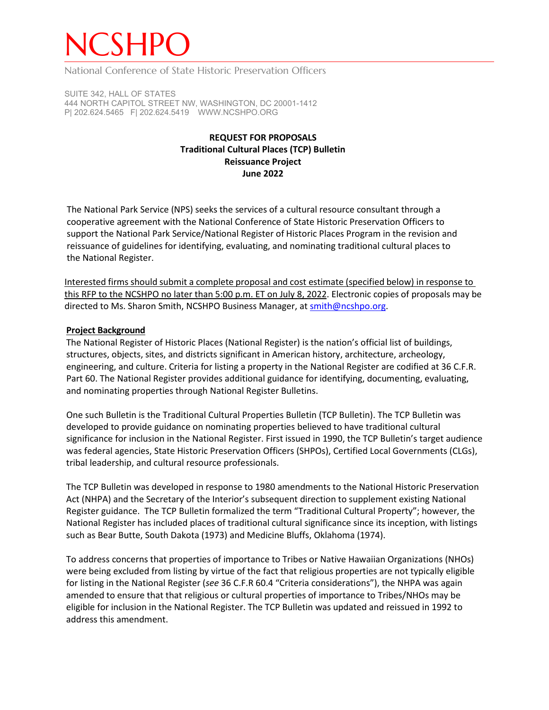# NCSHPO

National Conference of State Historic Preservation Officers

SUITE 342, HALL OF STATES 444 NORTH CAPITOL STREET NW, WASHINGTON, DC 20001-1412 P| 202.624.5465 F| 202.624.5419 WWW.NCSHPO.ORG

## **REQUEST FOR PROPOSALS Traditional Cultural Places (TCP) Bulletin Reissuance Project June 2022**

The National Park Service (NPS) seeks the services of a cultural resource consultant through a cooperative agreement with the National Conference of State Historic Preservation Officers to support the National Park Service/National Register of Historic Places Program in the revision and reissuance of guidelines for identifying, evaluating, and nominating traditional cultural places to the National Register.

Interested firms should submit a complete proposal and cost estimate (specified below) in response to this RFP to the NCSHPO no later than 5:00 p.m. ET on July 8, 2022. Electronic copies of proposals may be directed to Ms. Sharon Smith, NCSHPO Business Manager, at [smith@ncshpo.org.](mailto:smith@ncshpo.org)

## **Project Background**

The National Register of Historic Places (National Register) is the nation's official list of buildings, structures, objects, sites, and districts significant in American history, architecture, archeology, engineering, and culture. Criteria for listing a property in the National Register are codified at 36 C.F.R. Part 60. The National Register provides additional guidance for identifying, documenting, evaluating, and nominating properties through National Register Bulletins.

One such Bulletin is the Traditional Cultural Properties Bulletin (TCP Bulletin). The TCP Bulletin was developed to provide guidance on nominating properties believed to have traditional cultural significance for inclusion in the National Register. First issued in 1990, the TCP Bulletin's target audience was federal agencies, State Historic Preservation Officers (SHPOs), Certified Local Governments (CLGs), tribal leadership, and cultural resource professionals.

The TCP Bulletin was developed in response to 1980 amendments to the National Historic Preservation Act (NHPA) and the Secretary of the Interior's subsequent direction to supplement existing National Register guidance. The TCP Bulletin formalized the term "Traditional Cultural Property"; however, the National Register has included places of traditional cultural significance since its inception, with listings such as Bear Butte, South Dakota (1973) and Medicine Bluffs, Oklahoma (1974).

To address concerns that properties of importance to Tribes or Native Hawaiian Organizations (NHOs) were being excluded from listing by virtue of the fact that religious properties are not typically eligible for listing in the National Register (*see* 36 C.F.R 60.4 "Criteria considerations"), the NHPA was again amended to ensure that that religious or cultural properties of importance to Tribes/NHOs may be eligible for inclusion in the National Register. The TCP Bulletin was updated and reissued in 1992 to address this amendment.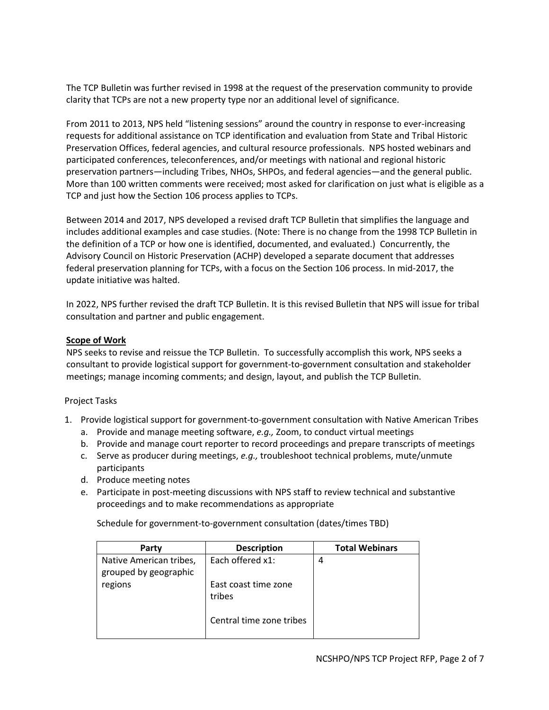The TCP Bulletin was further revised in 1998 at the request of the preservation community to provide clarity that TCPs are not a new property type nor an additional level of significance.

From 2011 to 2013, NPS held "listening sessions" around the country in response to ever-increasing requests for additional assistance on TCP identification and evaluation from State and Tribal Historic Preservation Offices, federal agencies, and cultural resource professionals. NPS hosted webinars and participated conferences, teleconferences, and/or meetings with national and regional historic preservation partners—including Tribes, NHOs, SHPOs, and federal agencies—and the general public. More than 100 written comments were received; most asked for clarification on just what is eligible as a TCP and just how the Section 106 process applies to TCPs.

Between 2014 and 2017, NPS developed a revised draft TCP Bulletin that simplifies the language and includes additional examples and case studies. (Note: There is no change from the 1998 TCP Bulletin in the definition of a TCP or how one is identified, documented, and evaluated.) Concurrently, the Advisory Council on Historic Preservation (ACHP) developed a separate document that addresses federal preservation planning for TCPs, with a focus on the Section 106 process. In mid-2017, the update initiative was halted.

In 2022, NPS further revised the draft TCP Bulletin. It is this revised Bulletin that NPS will issue for tribal consultation and partner and public engagement.

## **Scope of Work**

NPS seeks to revise and reissue the TCP Bulletin. To successfully accomplish this work, NPS seeks a consultant to provide logistical support for government-to-government consultation and stakeholder meetings; manage incoming comments; and design, layout, and publish the TCP Bulletin.

#### Project Tasks

- 1. Provide logistical support for government-to-government consultation with Native American Tribes
	- a. Provide and manage meeting software, *e.g.,* Zoom, to conduct virtual meetings
	- b. Provide and manage court reporter to record proceedings and prepare transcripts of meetings
	- c. Serve as producer during meetings, *e.g.,* troubleshoot technical problems, mute/unmute participants
	- d. Produce meeting notes
	- e. Participate in post-meeting discussions with NPS staff to review technical and substantive proceedings and to make recommendations as appropriate

Schedule for government-to-government consultation (dates/times TBD)

| Party                                            | <b>Description</b>             | <b>Total Webinars</b> |
|--------------------------------------------------|--------------------------------|-----------------------|
| Native American tribes,<br>grouped by geographic | Each offered x1:               | 4                     |
| regions                                          | East coast time zone<br>tribes |                       |
|                                                  | Central time zone tribes       |                       |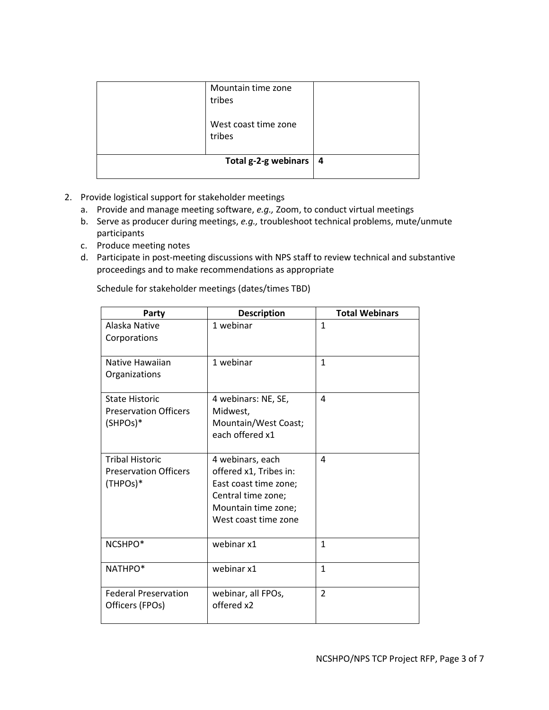| Mountain time zone<br>tribes   |                |
|--------------------------------|----------------|
| West coast time zone<br>tribes |                |
| Total g-2-g webinars           | $\overline{4}$ |

- 2. Provide logistical support for stakeholder meetings
	- a. Provide and manage meeting software, *e.g.,* Zoom, to conduct virtual meetings
	- b. Serve as producer during meetings, *e.g.,* troubleshoot technical problems, mute/unmute participants
	- c. Produce meeting notes
	- d. Participate in post-meeting discussions with NPS staff to review technical and substantive proceedings and to make recommendations as appropriate

| Party                                                              | <b>Description</b>                                                                                                                       | <b>Total Webinars</b> |
|--------------------------------------------------------------------|------------------------------------------------------------------------------------------------------------------------------------------|-----------------------|
| Alaska Native<br>Corporations                                      | 1 webinar                                                                                                                                | $\mathbf{1}$          |
| Native Hawaiian<br>Organizations                                   | 1 webinar                                                                                                                                | $\mathbf{1}$          |
| <b>State Historic</b><br><b>Preservation Officers</b><br>(SHPOs)*  | 4 webinars: NE, SE,<br>Midwest,<br>Mountain/West Coast;<br>each offered x1                                                               | 4                     |
| <b>Tribal Historic</b><br><b>Preservation Officers</b><br>(THPOs)* | 4 webinars, each<br>offered x1, Tribes in:<br>East coast time zone;<br>Central time zone;<br>Mountain time zone;<br>West coast time zone | 4                     |
| NCSHPO*                                                            | webinar x1                                                                                                                               | $\mathbf{1}$          |
| NATHPO*                                                            | webinar x1                                                                                                                               | $\mathbf{1}$          |
| <b>Federal Preservation</b><br>Officers (FPOs)                     | webinar, all FPOs,<br>offered x2                                                                                                         | $\overline{2}$        |

Schedule for stakeholder meetings (dates/times TBD)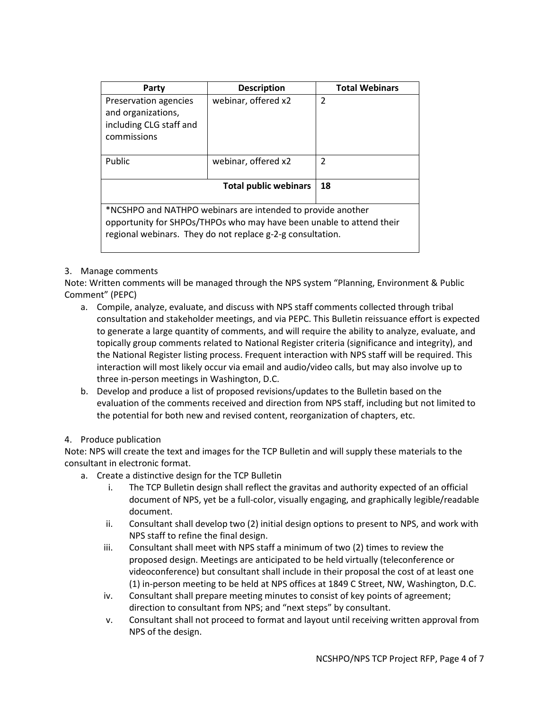| Party                                                                                                                                                                                             | <b>Description</b>  | <b>Total Webinars</b> |  |  |
|---------------------------------------------------------------------------------------------------------------------------------------------------------------------------------------------------|---------------------|-----------------------|--|--|
| Preservation agencies<br>and organizations,<br>including CLG staff and<br>commissions                                                                                                             | webinar, offered x2 | $\mathfrak{p}$        |  |  |
| Public                                                                                                                                                                                            | webinar, offered x2 | $\mathfrak{p}$        |  |  |
| <b>Total public webinars</b>                                                                                                                                                                      |                     | 18                    |  |  |
| *NCSHPO and NATHPO webinars are intended to provide another<br>opportunity for SHPOs/THPOs who may have been unable to attend their<br>regional webinars. They do not replace g-2-g consultation. |                     |                       |  |  |

## 3. Manage comments

Note: Written comments will be managed through the NPS system "Planning, Environment & Public Comment" (PEPC)

- a. Compile, analyze, evaluate, and discuss with NPS staff comments collected through tribal consultation and stakeholder meetings, and via PEPC. This Bulletin reissuance effort is expected to generate a large quantity of comments, and will require the ability to analyze, evaluate, and topically group comments related to National Register criteria (significance and integrity), and the National Register listing process. Frequent interaction with NPS staff will be required. This interaction will most likely occur via email and audio/video calls, but may also involve up to three in-person meetings in Washington, D.C.
- b. Develop and produce a list of proposed revisions/updates to the Bulletin based on the evaluation of the comments received and direction from NPS staff, including but not limited to the potential for both new and revised content, reorganization of chapters, etc.

#### 4. Produce publication

Note: NPS will create the text and images for the TCP Bulletin and will supply these materials to the consultant in electronic format.

- a. Create a distinctive design for the TCP Bulletin
	- i. The TCP Bulletin design shall reflect the gravitas and authority expected of an official document of NPS, yet be a full-color, visually engaging, and graphically legible/readable document.
	- ii. Consultant shall develop two (2) initial design options to present to NPS, and work with NPS staff to refine the final design.
	- iii. Consultant shall meet with NPS staff a minimum of two (2) times to review the proposed design. Meetings are anticipated to be held virtually (teleconference or videoconference) but consultant shall include in their proposal the cost of at least one (1) in-person meeting to be held at NPS offices at 1849 C Street, NW, Washington, D.C.
	- iv. Consultant shall prepare meeting minutes to consist of key points of agreement; direction to consultant from NPS; and "next steps" by consultant.
	- v. Consultant shall not proceed to format and layout until receiving written approval from NPS of the design.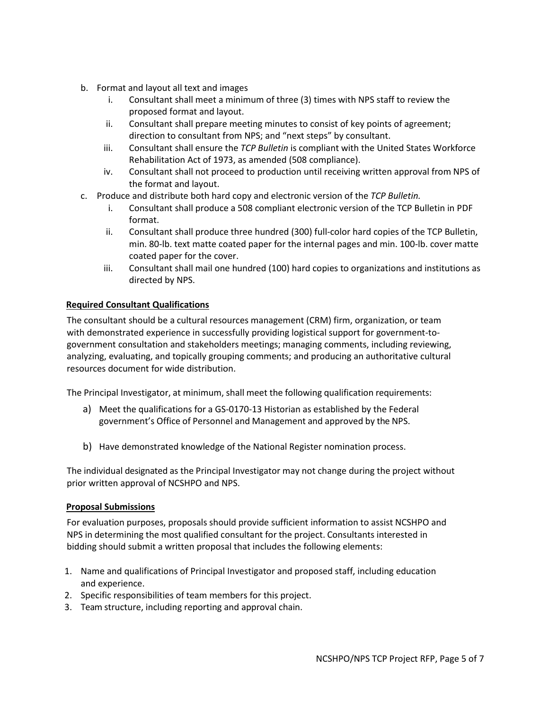- b. Format and layout all text and images
	- i. Consultant shall meet a minimum of three (3) times with NPS staff to review the proposed format and layout.
	- ii. Consultant shall prepare meeting minutes to consist of key points of agreement; direction to consultant from NPS; and "next steps" by consultant.
	- iii. Consultant shall ensure the *TCP Bulletin* is compliant with the United States Workforce Rehabilitation Act of 1973, as amended (508 compliance).
	- iv. Consultant shall not proceed to production until receiving written approval from NPS of the format and layout.
- c. Produce and distribute both hard copy and electronic version of the *TCP Bulletin.*
	- i. Consultant shall produce a 508 compliant electronic version of the TCP Bulletin in PDF format.
	- ii. Consultant shall produce three hundred (300) full-color hard copies of the TCP Bulletin, min. 80-lb. text matte coated paper for the internal pages and min. 100-lb. cover matte coated paper for the cover.
	- iii. Consultant shall mail one hundred (100) hard copies to organizations and institutions as directed by NPS.

## **Required Consultant Qualifications**

The consultant should be a cultural resources management (CRM) firm, organization, or team with demonstrated experience in successfully providing logistical support for government-togovernment consultation and stakeholders meetings; managing comments, including reviewing, analyzing, evaluating, and topically grouping comments; and producing an authoritative cultural resources document for wide distribution.

The Principal Investigator, at minimum, shall meet the following qualification requirements:

- a) Meet the qualifications for a GS-0170-13 Historian as established by the Federal government's Office of Personnel and Management and approved by the NPS.
- b) Have demonstrated knowledge of the National Register nomination process.

The individual designated as the Principal Investigator may not change during the project without prior written approval of NCSHPO and NPS.

#### **Proposal Submissions**

For evaluation purposes, proposals should provide sufficient information to assist NCSHPO and NPS in determining the most qualified consultant for the project. Consultants interested in bidding should submit a written proposal that includes the following elements:

- 1. Name and qualifications of Principal Investigator and proposed staff, including education and experience.
- 2. Specific responsibilities of team members for this project.
- 3. Team structure, including reporting and approval chain.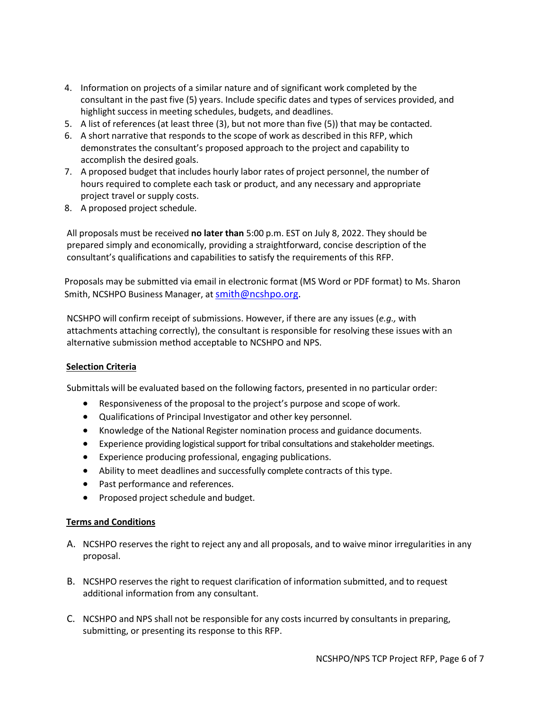- 4. Information on projects of a similar nature and of significant work completed by the consultant in the past five (5) years. Include specific dates and types of services provided, and highlight success in meeting schedules, budgets, and deadlines.
- 5. A list of references (at least three (3), but not more than five (5)) that may be contacted.
- 6. A short narrative that responds to the scope of work as described in this RFP, which demonstrates the consultant's proposed approach to the project and capability to accomplish the desired goals.
- 7. A proposed budget that includes hourly labor rates of project personnel, the number of hours required to complete each task or product, and any necessary and appropriate project travel or supply costs.
- 8. A proposed project schedule.

All proposals must be received **no later than** 5:00 p.m. EST on July 8, 2022. They should be prepared simply and economically, providing a straightforward, concise description of the consultant's qualifications and capabilities to satisfy the requirements of this RFP.

Proposals may be submitted via email in electronic format (MS Word or PDF format) to Ms. Sharon Smith, NCSHPO Business Manager, a[t smith@ncshpo.org.](mailto:smith@ncshpo.org)

NCSHPO will confirm receipt of submissions. However, if there are any issues (*e.g.,* with attachments attaching correctly), the consultant is responsible for resolving these issues with an alternative submission method acceptable to NCSHPO and NPS.

#### **Selection Criteria**

Submittals will be evaluated based on the following factors, presented in no particular order:

- Responsiveness of the proposal to the project's purpose and scope of work.
- Qualifications of Principal Investigator and other key personnel.
- Knowledge of the National Register nomination process and guidance documents.
- Experience providing logistical support for tribal consultations and stakeholder meetings.
- Experience producing professional, engaging publications.
- Ability to meet deadlines and successfully complete contracts of this type.
- Past performance and references.
- Proposed project schedule and budget.

#### **Terms and Conditions**

- A. NCSHPO reserves the right to reject any and all proposals, and to waive minor irregularities in any proposal.
- B. NCSHPO reserves the right to request clarification of information submitted, and to request additional information from any consultant.
- C. NCSHPO and NPS shall not be responsible for any costs incurred by consultants in preparing, submitting, or presenting its response to this RFP.